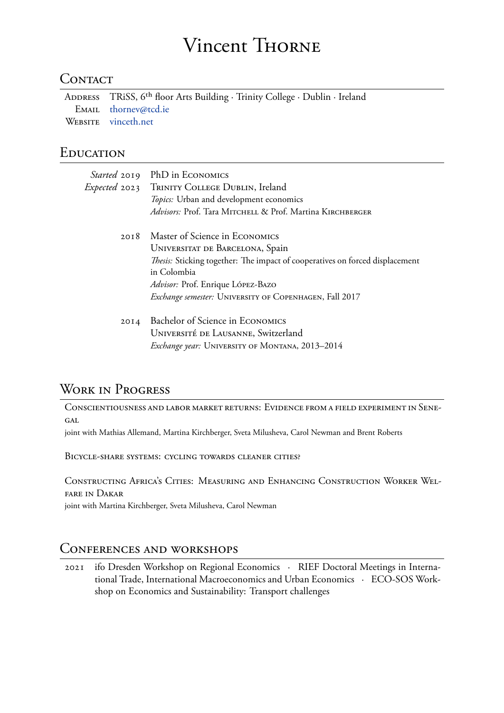### Vincent THORNE

### **CONTACT**

ADDRESS TRiSS, 6th floor Arts Building ∙ Trinity College ∙ Dublin ∙ Ireland EMAIL thornev@tcd.ie WEBSITE vinceth.net

### **EDUCATI[ON](mailto:thornev@tcd.ie)**

|      | Started 2019 PhD in ECONOMICS                                                |
|------|------------------------------------------------------------------------------|
|      | <i>Expected</i> 2023 TRINITY COLLEGE DUBLIN, Ireland                         |
|      | Topics: Urban and development economics                                      |
|      | Advisors: Prof. Tara MITCHELL & Prof. Martina KIRCHBERGER                    |
| 20I8 | Master of Science in ECONOMICS                                               |
|      | UNIVERSITAT DE BARCELONA, Spain                                              |
|      | Thesis: Sticking together: The impact of cooperatives on forced displacement |
|      | in Colombia                                                                  |
|      | Advisor: Prof. Enrique LÓPEZ-BAZO                                            |
|      | Exchange semester: UNIVERSITY OF COPENHAGEN, Fall 2017                       |
| 20I4 | Bachelor of Science in ECONOMICS                                             |
|      | UNIVERSITÉ DE LAUSANNE, Switzerland                                          |
|      | Exchange year: UNIVERSITY OF MONTANA, 2013-2014                              |

## WORK IN PROGRESS

CONSCIENTIOUSNESS AND LABOR MARKET RETURNS: EVIDENCE FROM A FIELD EXPERIMENT IN SENE-GAL

joint with Mathias Allemand, Martina Kirchberger, Sveta Milusheva, Carol Newman and Brent Roberts

BICYCLE-SHARE SYSTEMS: CYCLING TOWARDS CLEANER CITIES?

CONSTRucTINg AfRIcA'S CITIES: MEASuRINg AND ENHANcINg CONSTRucTION WORkER WELfARE IN DAkAR

joint with Martina Kirchberger, Sveta Milusheva, Carol Newman

## CONfERENcES AND wORkSHOpS

2021 ifo Dresden Workshop on Regional Economics ∙ RIEF Doctoral Meetings in International Trade, International Macroeconomics and Urban Economics ∙ ECO-SOS Workshop on Economics and Sustainability: Transport challenges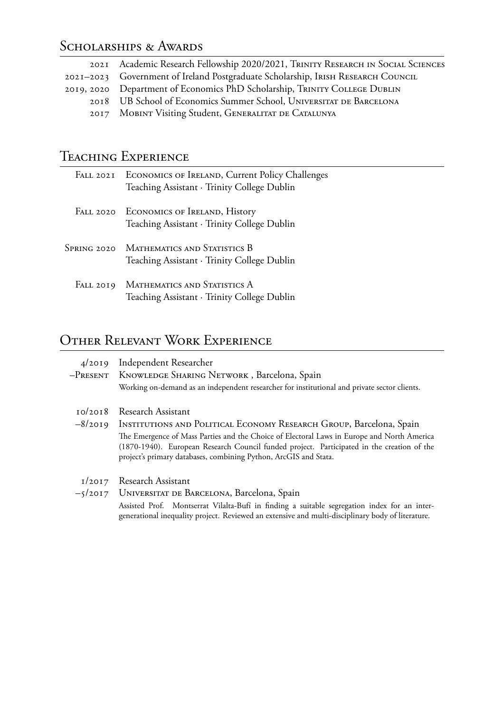# SCHOLARSHIPS & AWARDS

| 2021 Academic Research Fellowship 2020/2021, TRINITY RESEARCH IN SOCIAL SCIENCES |
|----------------------------------------------------------------------------------|
| 2021-2023 Government of Ireland Postgraduate Scholarship, IRISH RESEARCH COUNCIL |
| 2019, 2020 Department of Economics PhD Scholarship, TRINITY COLLEGE DUBLIN       |
| 2018 UB School of Economics Summer School, UNIVERSITAT DE BARCELONA              |
| 2017 MOBINT Visiting Student, GENERALITAT DE CATALUNYA                           |

# TEACHING EXPERIENCE

|           | FALL 2021 ECONOMICS OF IRELAND, Current Policy Challenges<br>Teaching Assistant · Trinity College Dublin |
|-----------|----------------------------------------------------------------------------------------------------------|
|           | FALL 2020 ECONOMICS OF IRELAND, History<br>Teaching Assistant · Trinity College Dublin                   |
|           | SPRING 2020 MATHEMATICS AND STATISTICS B<br>Teaching Assistant · Trinity College Dublin                  |
| FALL 2019 | MATHEMATICS AND STATISTICS A<br>Teaching Assistant · Trinity College Dublin                              |

# OTHER RELEVANT WORK EXPERIENCE

|           | 4/2019 Independent Researcher                                                                                                                                                                                                                                |
|-----------|--------------------------------------------------------------------------------------------------------------------------------------------------------------------------------------------------------------------------------------------------------------|
|           | -PRESENT KNOWLEDGE SHARING NETWORK, Barcelona, Spain                                                                                                                                                                                                         |
|           | Working on-demand as an independent researcher for institutional and private sector clients.                                                                                                                                                                 |
| 10/2018   | Research Assistant                                                                                                                                                                                                                                           |
| $-8/2019$ | INSTITUTIONS AND POLITICAL ECONOMY RESEARCH GROUP, Barcelona, Spain                                                                                                                                                                                          |
|           | The Emergence of Mass Parties and the Choice of Electoral Laws in Europe and North America<br>(1870-1940). European Research Council funded project. Participated in the creation of the<br>project's primary databases, combining Python, ArcGIS and Stata. |
|           | 1/2017 Research Assistant                                                                                                                                                                                                                                    |
|           | -5/2017 UNIVERSITAT DE BARCELONA, Barcelona, Spain                                                                                                                                                                                                           |
|           | Assisted Prof. Montserrat Vilalta-Bufí in finding a suitable segregation index for an inter-<br>generational inequality project. Reviewed an extensive and multi-disciplinary body of literature.                                                            |